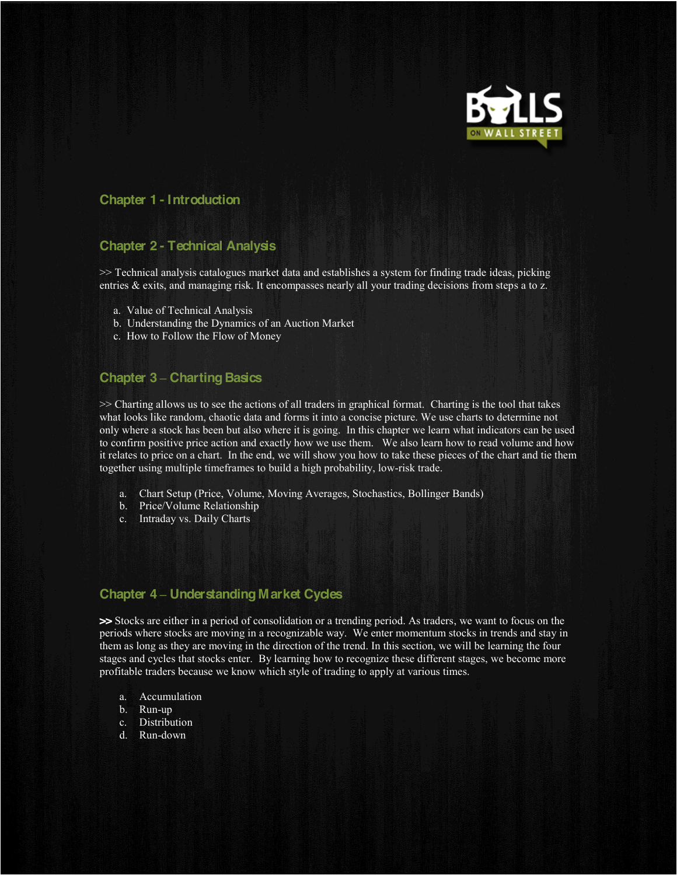

# **Chapter 1 - Introduction**

## **Chapter 2 - Technical Analysis**

>> Technical analysis catalogues market data and establishes a system for finding trade ideas, picking entries & exits, and managing risk. It encompasses nearly all your trading decisions from steps a to z.

- a. Value of Technical Analysis
- b. Understanding the Dynamics of an Auction Market
- c. How to Follow the Flow of Money

# **Chapter 3 ± Charting Basics**

>> Charting allows us to see the actions of all traders in graphical format. Charting is the tool that takes what looks like random, chaotic data and forms it into a concise picture. We use charts to determine not only where a stock has been but also where it is going. In this chapter we learn what indicators can be used to confirm positive price action and exactly how we use them. We also learn how to read volume and how it relates to price on a chart. In the end, we will show you how to take these pieces of the chart and tie them together using multiple timeframes to build a high probability, low-risk trade.

- a. Chart Setup (Price, Volume, Moving Averages, Stochastics, Bollinger Bands)
- b. Price/Volume Relationship
- c. Intraday vs. Daily Charts

#### **Chapter 4 ± Understanding Market Cycles**

**>>** Stocks are either in a period of consolidation or a trending period. As traders, we want to focus on the periods where stocks are moving in a recognizable way. We enter momentum stocks in trends and stay in them as long as they are moving in the direction of the trend. In this section, we will be learning the four stages and cycles that stocks enter. By learning how to recognize these different stages, we become more profitable traders because we know which style of trading to apply at various times.

- a. Accumulation
- b. Run-up
- c. Distribution
- d. Run-down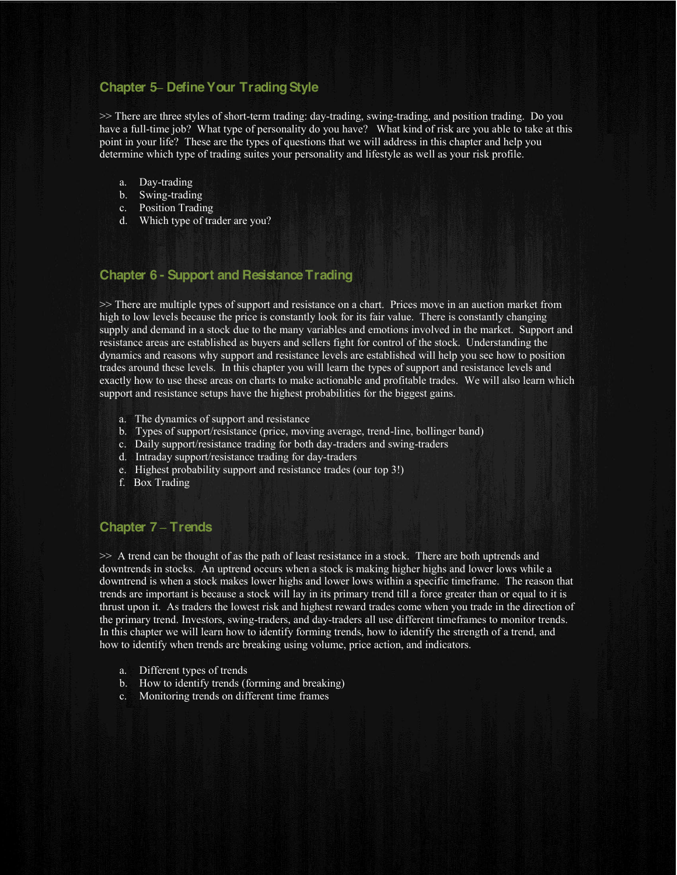## **Chapter 5± Define Your Trading Style**

>> There are three styles of short-term trading: day-trading, swing-trading, and position trading. Do you have a full-time job? What type of personality do you have? What kind of risk are you able to take at this point in your life? These are the types of questions that we will address in this chapter and help you determine which type of trading suites your personality and lifestyle as well as your risk profile.

- a. Day-trading
- b. Swing-trading
- c. Position Trading
- d. Which type of trader are you?

## **Chapter 6 - Support and Resistance Trading**

>> There are multiple types of support and resistance on a chart. Prices move in an auction market from high to low levels because the price is constantly look for its fair value. There is constantly changing supply and demand in a stock due to the many variables and emotions involved in the market. Support and resistance areas are established as buyers and sellers fight for control of the stock. Understanding the dynamics and reasons why support and resistance levels are established will help you see how to position trades around these levels. In this chapter you will learn the types of support and resistance levels and exactly how to use these areas on charts to make actionable and profitable trades. We will also learn which support and resistance setups have the highest probabilities for the biggest gains.

- a. The dynamics of support and resistance
- b. Types of support/resistance (price, moving average, trend-line, bollinger band)
- c. Daily support/resistance trading for both day-traders and swing-traders
- d. Intraday support/resistance trading for day-traders
- e. Highest probability support and resistance trades (our top 3!)
- f. Box Trading

#### **Chapter 7 ± Trends**

>> A trend can be thought of as the path of least resistance in a stock. There are both uptrends and downtrends in stocks. An uptrend occurs when a stock is making higher highs and lower lows while a downtrend is when a stock makes lower highs and lower lows within a specific timeframe. The reason that trends are important is because a stock will lay in its primary trend till a force greater than or equal to it is thrust upon it. As traders the lowest risk and highest reward trades come when you trade in the direction of the primary trend. Investors, swing-traders, and day-traders all use different timeframes to monitor trends. In this chapter we will learn how to identify forming trends, how to identify the strength of a trend, and how to identify when trends are breaking using volume, price action, and indicators.

- a. Different types of trends
- b. How to identify trends (forming and breaking)
- c. Monitoring trends on different time frames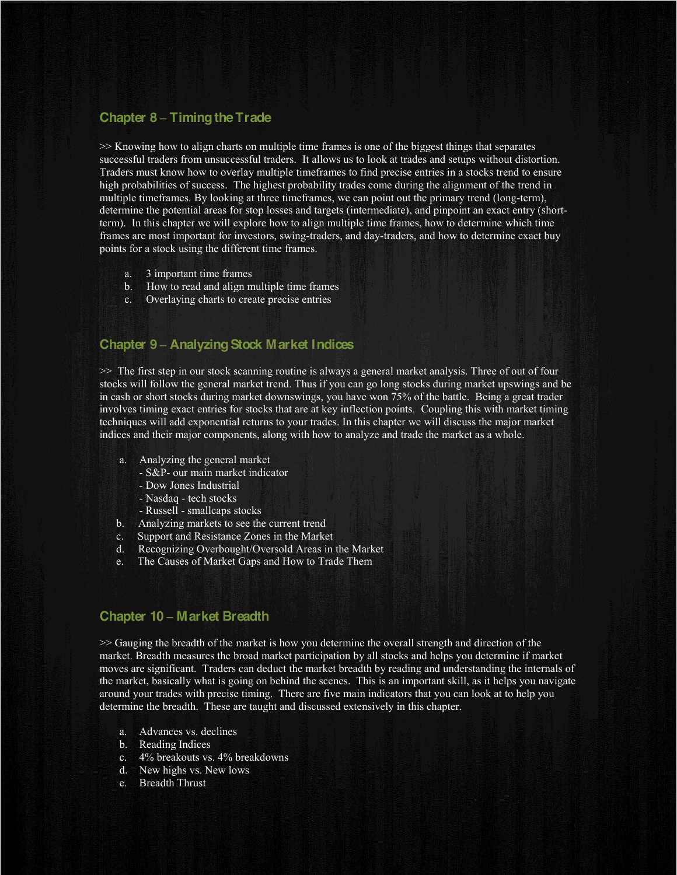#### **Chapter 8 ± Timing the Trade**

>> Knowing how to align charts on multiple time frames is one of the biggest things that separates successful traders from unsuccessful traders. It allows us to look at trades and setups without distortion. Traders must know how to overlay multiple timeframes to find precise entries in a stocks trend to ensure high probabilities of success. The highest probability trades come during the alignment of the trend in multiple timeframes. By looking at three timeframes, we can point out the primary trend (long-term), determine the potential areas for stop losses and targets (intermediate), and pinpoint an exact entry (shortterm). In this chapter we will explore how to align multiple time frames, how to determine which time frames are most important for investors, swing-traders, and day-traders, and how to determine exact buy points for a stock using the different time frames.

- a. 3 important time frames
- b. How to read and align multiple time frames
- c. Overlaying charts to create precise entries

#### **Chapter 9 ± Analyzing Stock Market Indices**

>> The first step in our stock scanning routine is always a general market analysis. Three of out of four stocks will follow the general market trend. Thus if you can go long stocks during market upswings and be in cash or short stocks during market downswings, you have won 75% of the battle. Being a great trader involves timing exact entries for stocks that are at key inflection points. Coupling this with market timing techniques will add exponential returns to your trades. In this chapter we will discuss the major market indices and their major components, along with how to analyze and trade the market as a whole.

- a. Analyzing the general market
	- S&P- our main market indicator
	- Dow Jones Industrial
	- Nasdaq tech stocks
	- Russell smallcaps stocks
- b. Analyzing markets to see the current trend
- c. Support and Resistance Zones in the Market
- d. Recognizing Overbought/Oversold Areas in the Market
- e. The Causes of Market Gaps and How to Trade Them

#### **Chapter 10 ± Market Breadth**

>> Gauging the breadth of the market is how you determine the overall strength and direction of the market. Breadth measures the broad market participation by all stocks and helps you determine if market moves are significant. Traders can deduct the market breadth by reading and understanding the internals of the market, basically what is going on behind the scenes. This is an important skill, as it helps you navigate around your trades with precise timing. There are five main indicators that you can look at to help you determine the breadth. These are taught and discussed extensively in this chapter.

- a. Advances vs. declines
- b. Reading Indices
- c. 4% breakouts vs. 4% breakdowns
- d. New highs vs. New lows
- e. Breadth Thrust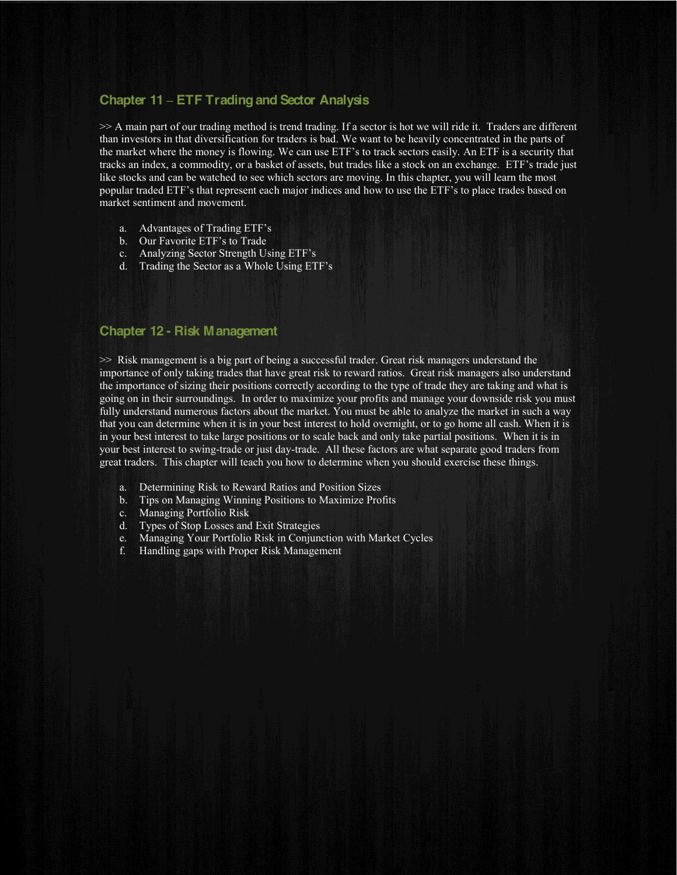## **Chapter 11 ± ETF Tradingand Sector Analysis**

>> A main part of our trading method is trend trading. If a sector is hot we will ride it. Traders are different than investors in that diversification for traders is bad. We want to be heavily concentrated in the parts of the market where the money is flowing. We can use ETF's to track sectors easily. An ETF is a security that tracks an index, a commodity, or a basket of assets, but trades like a stock on an exchange. ETF's trade just like stocks and can be watched to see which sectors are moving. In this chapter, you will learn the most popular traded ETF's that represent each major indices and how to use the ETF's to place trades based on market sentiment and movement.

- a. Advantages of Trading ETF's
- b. Our Favorite ETF's to Trade
- c. Analyzing Sector Strength Using ETF's
- d. Trading the Sector as a Whole Using ETF's

### **Chapter 12 - Risk Management**

>> Risk management is a big part of being a successful trader. Great risk managers understand the importance of only taking trades that have great risk to reward ratios. Great risk managers also understand the importance of sizing their positions correctly according to the type of trade they are taking and what is going on in their surroundings. In order to maximize your profits and manage your downside risk you must fully understand numerous factors about the market. You must be able to analyze the market in such a way that you can determine when it is in your best interest to hold overnight, or to go home all cash. When it is in your best interest to take large positions or to scale back and only take partial positions. When it is in your best interest to swing-trade or just day-trade. All these factors are what separate good traders from great traders. This chapter will teach you how to determine when you should exercise these things.

- a. Determining Risk to Reward Ratios and Position Sizes
- b. Tips on Managing Winning Positions to Maximize Profits
- c. Managing Portfolio Risk
- d. Types of Stop Losses and Exit Strategies
- e. Managing Your Portfolio Risk in Conjunction with Market Cycles
- f. Handling gaps with Proper Risk Management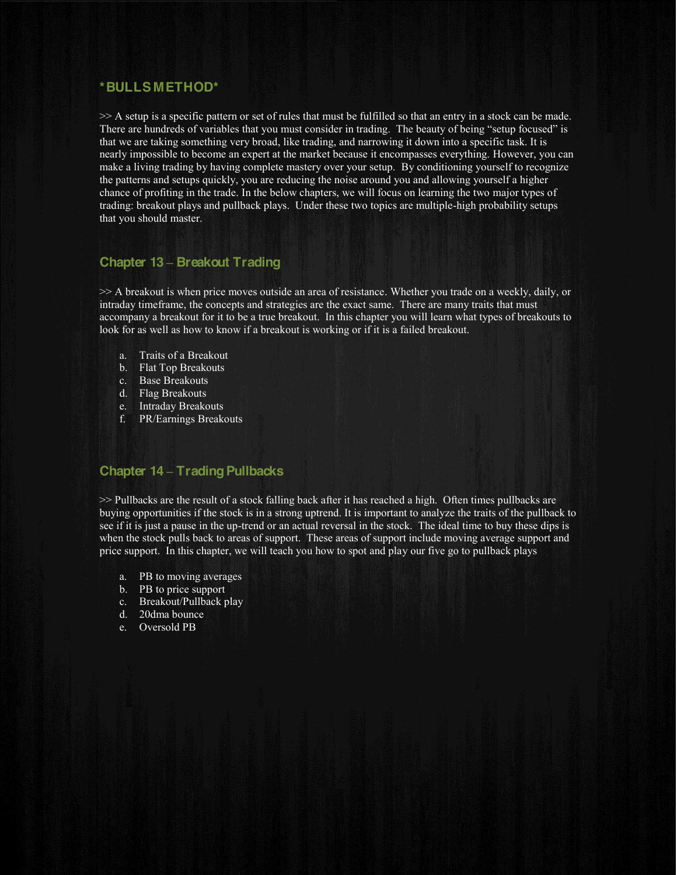#### **\*BULLS METHOD\***

>> A setup is a specific pattern or set of rules that must be fulfilled so that an entry in a stock can be made. There are hundreds of variables that you must consider in trading. The beauty of being "setup focused" is that we are taking something very broad, like trading, and narrowing it down into a specific task. It is nearly impossible to become an expert at the market because it encompasses everything. However, you can make a living trading by having complete mastery over your setup. By conditioning yourself to recognize the patterns and setups quickly, you are reducing the noise around you and allowing yourself a higher chance of profiting in the trade. In the below chapters, we will focus on learning the two major types of trading: breakout plays and pullback plays. Under these two topics are multiple-high probability setups that you should master.

#### **Chapter 13 ± Breakout Trading**

>> A breakout is when price moves outside an area of resistance. Whether you trade on a weekly, daily, or intraday timeframe, the concepts and strategies are the exact same. There are many traits that must accompany a breakout for it to be a true breakout. In this chapter you will learn what types of breakouts to look for as well as how to know if a breakout is working or if it is a failed breakout.

- a. Traits of a Breakout
- b. Flat Top Breakouts
- c. Base Breakouts
- d. Flag Breakouts
- e. Intraday Breakouts
- f. PR/Earnings Breakouts

## **Chapter 14 ± Trading Pullbacks**

>> Pullbacks are the result of a stock falling back after it has reached a high. Often times pullbacks are buying opportunities if the stock is in a strong uptrend. It is important to analyze the traits of the pullback to see if it is just a pause in the up-trend or an actual reversal in the stock. The ideal time to buy these dips is when the stock pulls back to areas of support. These areas of support include moving average support and price support. In this chapter, we will teach you how to spot and play our five go to pullback plays

- a. PB to moving averages
- b. PB to price support
- c. Breakout/Pullback play
- d. 20dma bounce
- e. Oversold PB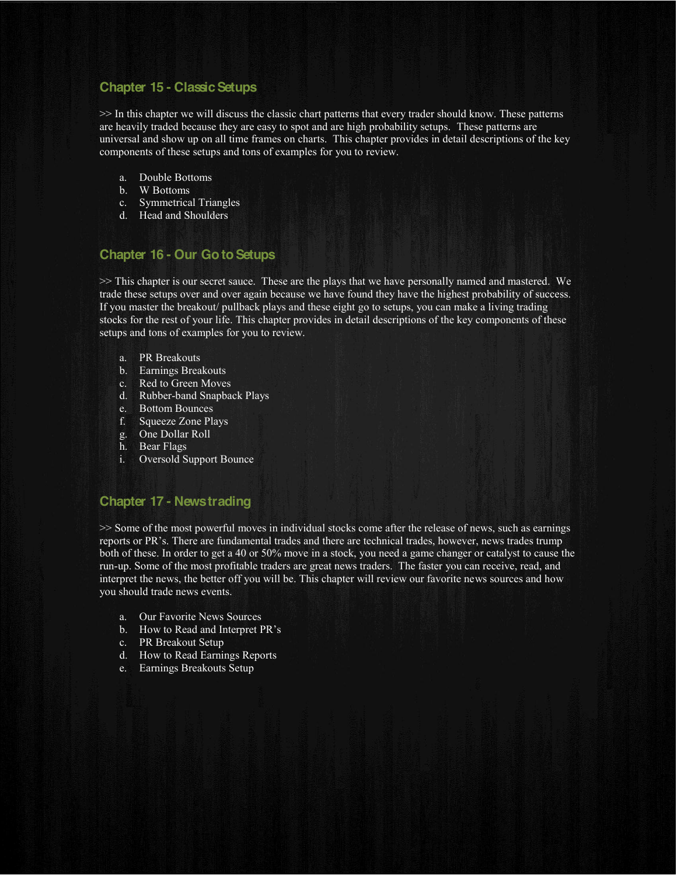## **Chapter 15 - Classic Setups**

>> In this chapter we will discuss the classic chart patterns that every trader should know. These patterns are heavily traded because they are easy to spot and are high probability setups. These patterns are universal and show up on all time frames on charts. This chapter provides in detail descriptions of the key components of these setups and tons of examples for you to review.

- a. Double Bottoms
- b. W Bottoms
- c. Symmetrical Triangles
- d. Head and Shoulders

# **Chapter 16 - Our Go to Setups**

>> This chapter is our secret sauce. These are the plays that we have personally named and mastered. We trade these setups over and over again because we have found they have the highest probability of success. If you master the breakout/ pullback plays and these eight go to setups, you can make a living trading stocks for the rest of your life. This chapter provides in detail descriptions of the key components of these setups and tons of examples for you to review.

- a. PR Breakouts
- b. Earnings Breakouts
- c. Red to Green Moves
- d. Rubber-band Snapback Plays
- e. Bottom Bounces
- f. Squeeze Zone Plays
- g. One Dollar Roll
- h. Bear Flags
- i. Oversold Support Bounce

## **Chapter 17 - News trading**

>> Some of the most powerful moves in individual stocks come after the release of news, such as earnings reports or PR's. There are fundamental trades and there are technical trades, however, news trades trump both of these. In order to get a 40 or 50% move in a stock, you need a game changer or catalyst to cause the run-up. Some of the most profitable traders are great news traders. The faster you can receive, read, and interpret the news, the better off you will be. This chapter will review our favorite news sources and how you should trade news events.

- a. Our Favorite News Sources
- b. How to Read and Interpret PR's
- c. PR Breakout Setup
- d. How to Read Earnings Reports
- e. Earnings Breakouts Setup